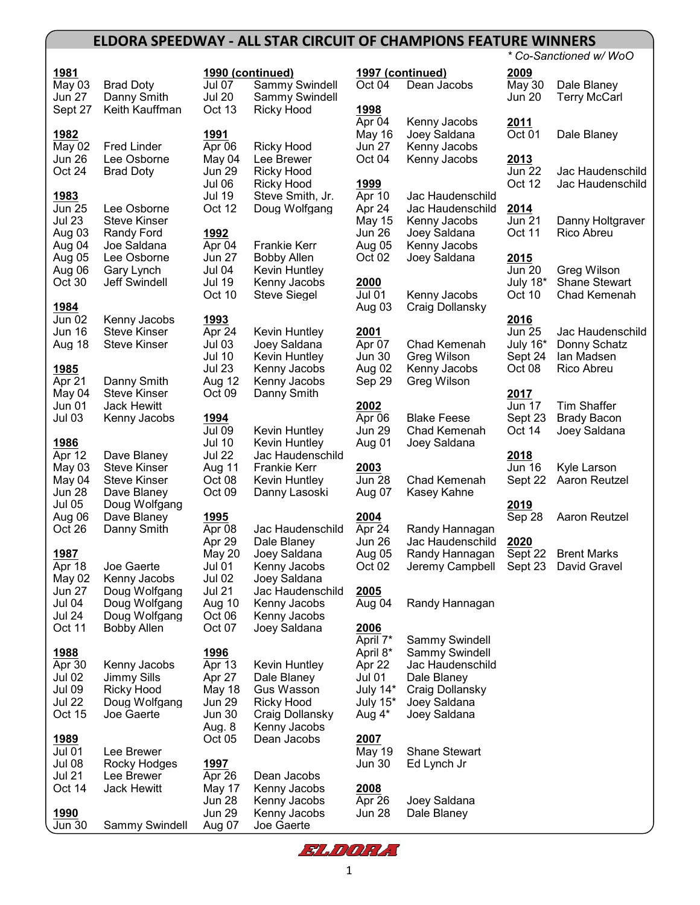## **ELDORA SPEEDWAY - ALL STAR CIRCUIT OF CHAMPIONS FEATURE WINNERS**

| 1981<br>May 03<br>Jun 27<br>Sept 27                    | <b>Brad Doty</b><br>Danny Smith<br>Keith Kauffman                                         | Jul 07<br><b>Jul 20</b><br>Oct 13                                      | 1990 (continued)<br>Sammy Swindell<br>Sammy Swindell<br><b>Ricky Hood</b>           | 1997<br>Oct 0<br>1998                       |
|--------------------------------------------------------|-------------------------------------------------------------------------------------------|------------------------------------------------------------------------|-------------------------------------------------------------------------------------|---------------------------------------------|
| 1982<br>May 02<br>Jun 26<br>Oct 24                     | <b>Fred Linder</b><br>Lee Osborne<br><b>Brad Doty</b>                                     | 1991<br>Apr 06<br>May 04<br><b>Jun 29</b><br>Jul 06                    | Ricky Hood<br>Lee Brewer<br><b>Ricky Hood</b><br>Ricky Hood                         | Apr 0<br>May<br>Jun 2<br>Oct (<br>1999      |
| 1983<br><b>Jun 25</b><br>Jul 23                        | Lee Osborne<br><b>Steve Kinser</b>                                                        | <b>Jul 19</b><br>Oct 12                                                | Steve Smith, Jr.<br>Doug Wolfgang                                                   | Apr 1<br>Apr 2<br>May                       |
| Aug 03<br>Aug 04<br>Aug 05<br>Aug 06                   | Randy Ford<br>Joe Saldana<br>Lee Osborne<br>Gary Lynch                                    | 1992<br>Apr 04<br>Jun 27<br>Jul 04                                     | Frankie Kerr<br><b>Bobby Allen</b><br>Kevin Huntley                                 | Jun 2<br>Aug (<br>Oct (                     |
| Oct 30<br>1984                                         | <b>Jeff Swindell</b>                                                                      | Jul 19<br>Oct 10                                                       | Kenny Jacobs<br>Steve Siegel                                                        | 2000<br>Jul 0<br>Aug (                      |
| Jun 02<br>Jun 16<br>Aug 18                             | Kenny Jacobs<br><b>Steve Kinser</b><br>Steve Kinser                                       | 1993<br>Apr 24<br>Jul 03<br><b>Jul 10</b>                              | Kevin Huntley<br>Joey Saldana<br>Kevin Huntley                                      | 2001<br>Apr C<br>Jun 3                      |
| 1985<br>Apr 21<br>May 04                               | Danny Smith<br><b>Steve Kinser</b>                                                        | <b>Jul 23</b><br>Aug 12<br>Oct 09                                      | Kenny Jacobs<br>Kenny Jacobs<br>Danny Smith                                         | Aug (<br>Sep:                               |
| Jun 01<br>Jul 03                                       | <b>Jack Hewitt</b><br>Kenny Jacobs                                                        | 1994<br><b>Jul 09</b>                                                  | Kevin Huntley                                                                       | 2002<br>Apr C<br>Jun 2                      |
| 1986<br>Apr 12<br>May 03<br>May 04<br>Jun 28<br>Jul 05 | Dave Blaney<br><b>Steve Kinser</b><br><b>Steve Kinser</b><br>Dave Blaney<br>Doug Wolfgang | <b>Jul 10</b><br><b>Jul 22</b><br>Aug 11<br>Oct 08<br>Oct 09           | Kevin Huntley<br>Jac Haudenschild<br>Frankie Kerr<br>Kevin Huntley<br>Danny Lasoski | Aug (<br>2003<br>Jun 2<br>Aug (             |
| Aug 06<br>Oct 26                                       | Dave Blaney<br>Danny Smith                                                                | 1995<br>Apr 08<br>Apr 29                                               | Jac Haudenschild<br>Dale Blaney                                                     | 2004<br>Apr 2<br>Jun 2                      |
| 1987<br>Apr 18<br>May 02                               | Joe Gaerte<br>Kenny Jacobs                                                                | May 20<br><b>Jul 01</b><br>Jul 02                                      | Joey Saldana<br>Kenny Jacobs<br>Joey Saldana                                        | Aug (<br>Oct 0                              |
| Jun 27<br>Jul 04<br><b>Jul 24</b><br>Oct 11            | Doug Wolfgang<br>Doug Wolfgang<br>Doug Wolfgang<br><b>Bobby Allen</b>                     | <b>Jul 21</b><br>Aug 10<br>Oct 06<br>Oct 07                            | Jac Haudenschild<br>Kenny Jacobs<br>Kenny Jacobs<br>Joey Saldana                    | 2005<br>Aug (<br>2006                       |
| 1988                                                   |                                                                                           | 1996                                                                   |                                                                                     | April<br>April                              |
| Apr 30<br>Jul 02<br><b>Jul 09</b><br>Jul 22<br>Oct 15  | Kenny Jacobs<br><b>Jimmy Sills</b><br>Ricky Hood<br>Doug Wolfgang<br>Joe Gaerte           | Apr 13<br>Apr 27<br>May 18<br><b>Jun 29</b><br><b>Jun 30</b><br>Aug. 8 | Kevin Huntley<br>Dale Blaney<br>Gus Wasson<br>Ricky Hood<br>Craig Dollansky         | Apr 2<br>Jul 0<br>July :<br>July :<br>، Aug |
| 1989<br>Jul 01<br>Jul 08<br>Jul 21                     | Lee Brewer<br>Rocky Hodges<br>Lee Brewer                                                  | Oct 05<br>1997<br>Apr 26                                               | Kenny Jacobs<br>Dean Jacobs<br>Dean Jacobs                                          | 2007<br>May<br>Jun 3                        |
| Oct 14<br>1990<br>Jun 30                               | <b>Jack Hewitt</b><br>Sammy Swindell                                                      | May 17<br>Jun 28<br><b>Jun 29</b><br>Aug 07                            | Kenny Jacobs<br>Kenny Jacobs<br>Kenny Jacobs<br>Joe Gaerte                          | 2008<br>Apr 2<br>Jun 2                      |

|              |                      |               |                     |               |                                      |               | * Co-Sanctioned w/ WoO |
|--------------|----------------------|---------------|---------------------|---------------|--------------------------------------|---------------|------------------------|
| 1981         |                      |               | 1990 (continued)    |               | 1997 (continued)                     | 2009          |                        |
| May 03       | <b>Brad Doty</b>     | <b>Jul 07</b> | Sammy Swindell      | Oct 04        | Dean Jacobs                          | May 30        | Dale Blaney            |
| Jun 27       | Danny Smith          | <b>Jul 20</b> | Sammy Swindell      |               |                                      | Jun 20        | <b>Terry McCarl</b>    |
| Sept 27      | Keith Kauffman       | Oct 13        | <b>Ricky Hood</b>   | 1998          |                                      |               |                        |
|              |                      |               |                     | Apr 04        | Kenny Jacobs                         | 2011          |                        |
| 1982         |                      | 1991          |                     | May 16        | Joey Saldana                         | Oct 01        | Dale Blaney            |
| May 02       | <b>Fred Linder</b>   | Apr 06        | <b>Ricky Hood</b>   | <b>Jun 27</b> | Kenny Jacobs                         |               |                        |
| Jun 26       | Lee Osborne          | May 04        | Lee Brewer          | Oct 04        | Kenny Jacobs                         | 2013          |                        |
| Oct 24       | <b>Brad Doty</b>     | <b>Jun 29</b> | <b>Ricky Hood</b>   |               |                                      | <b>Jun 22</b> | Jac Haudenschild       |
|              |                      | Jul 06        | <b>Ricky Hood</b>   | 1999          |                                      | Oct 12        | Jac Haudenschild       |
| 1983         |                      | <b>Jul 19</b> | Steve Smith, Jr.    | Apr 10        | Jac Haudenschild                     |               |                        |
| Jun 25       | Lee Osborne          | Oct 12        | Doug Wolfgang       | Apr 24        | Jac Haudenschild                     | 2014          |                        |
| Jul 23       | <b>Steve Kinser</b>  |               |                     | <b>May 15</b> | Kenny Jacobs                         | <b>Jun 21</b> | Danny Holtgraver       |
| Aug 03       | Randy Ford           | 1992          |                     | Jun 26        | Joey Saldana                         | Oct 11        | Rico Abreu             |
| Aug 04       | Joe Saldana          | Apr 04        | <b>Frankie Kerr</b> | Aug 05        | Kenny Jacobs                         |               |                        |
| Aug 05       | Lee Osborne          | <b>Jun 27</b> | <b>Bobby Allen</b>  | Oct 02        | Joey Saldana                         | 2015          |                        |
| Aug 06       | Gary Lynch           | Jul 04        | Kevin Huntley       |               |                                      | <b>Jun 20</b> | Greg Wilson            |
| Oct 30       | <b>Jeff Swindell</b> | <b>Jul 19</b> | Kenny Jacobs        | 2000          |                                      | July 18*      | <b>Shane Stewart</b>   |
|              |                      | Oct 10        | <b>Steve Siegel</b> | <b>Jul 01</b> | Kenny Jacobs                         | Oct 10        | Chad Kemenah           |
| <u> 1984</u> |                      |               |                     | Aug 03        | Craig Dollansky                      |               |                        |
| Jun 02       | Kenny Jacobs         | 1993          |                     |               |                                      | 2016          |                        |
| Jun 16       | <b>Steve Kinser</b>  | Apr 24        | Kevin Huntley       | 2001          |                                      | <b>Jun 25</b> | Jac Haudenschild       |
| Aug 18       | <b>Steve Kinser</b>  | <b>Jul 03</b> | Joey Saldana        | Apr 07        | Chad Kemenah                         | July 16*      | Donny Schatz           |
|              |                      | <b>Jul 10</b> | Kevin Huntley       | <b>Jun 30</b> | Greg Wilson                          | Sept 24       | lan Madsen             |
| <u> 1985</u> |                      | <b>Jul 23</b> | Kenny Jacobs        | Aug 02        | Kenny Jacobs                         | Oct 08        | Rico Abreu             |
| Apr 21       | Danny Smith          | Aug 12        | Kenny Jacobs        | Sep 29        | Greg Wilson                          |               |                        |
| May 04       | <b>Steve Kinser</b>  | Oct 09        | Danny Smith         |               |                                      | 2017          |                        |
| Jun 01       | <b>Jack Hewitt</b>   |               |                     | 2002          |                                      | <b>Jun 17</b> | <b>Tim Shaffer</b>     |
| Jul 03       | Kenny Jacobs         | 1994          |                     | Apr 06        | <b>Blake Feese</b>                   | Sept 23       | <b>Brady Bacon</b>     |
|              |                      | <b>Jul 09</b> | Kevin Huntley       | <b>Jun 29</b> | Chad Kemenah                         | Oct 14        | Joey Saldana           |
| <u> 1986</u> |                      | <b>Jul 10</b> | Kevin Huntley       | Aug 01        | Joey Saldana                         |               |                        |
| Apr 12       | Dave Blaney          | <b>Jul 22</b> | Jac Haudenschild    |               |                                      | 2018          |                        |
| May 03       | <b>Steve Kinser</b>  | Aug 11        | <b>Frankie Kerr</b> | 2003          |                                      | <b>Jun 16</b> | Kyle Larson            |
| May 04       | <b>Steve Kinser</b>  | Oct 08        | Kevin Huntley       | <b>Jun 28</b> | Chad Kemenah                         | Sept 22       | Aaron Reutzel          |
| Jun 28       | Dave Blaney          | Oct 09        | Danny Lasoski       | Aug 07        | Kasey Kahne                          |               |                        |
| Jul 05       | Doug Wolfgang        |               |                     |               |                                      | 2019          |                        |
| Aug 06       | Dave Blaney          | <u>1995</u>   |                     | 2004          |                                      | Sep 28        | Aaron Reutzel          |
| Oct 26       | Danny Smith          | Apr 08        | Jac Haudenschild    | Apr 24        | Randy Hannagan                       |               |                        |
|              |                      | Apr 29        | Dale Blaney         | Jun 26        | Jac Haudenschild                     | 2020          |                        |
| 1987         |                      | <b>May 20</b> | Joey Saldana        | Aug 05        | Randy Hannagan                       | Sept 22       | <b>Brent Marks</b>     |
| Apr 18       | Joe Gaerte           | Jul 01        | Kenny Jacobs        | Oct 02        | Jeremy Campbell Sept 23 David Gravel |               |                        |
| May 02       | Kenny Jacobs         | <b>Jul 02</b> | Joey Saldana        |               |                                      |               |                        |
| Jun 27       | Doug Wolfgang        | <b>Jul 21</b> | Jac Haudenschild    | 2005          |                                      |               |                        |
| Jul 04       | Doug Wolfgang        | Aug 10        | Kenny Jacobs        | Aug 04        | Randy Hannagan                       |               |                        |
| Jul 24       | Doug Wolfgang        | Oct 06        | Kenny Jacobs        |               |                                      |               |                        |
| Oct 11       | <b>Bobby Allen</b>   | Oct 07        | Joey Saldana        | 2006          |                                      |               |                        |
|              |                      |               |                     | April 7*      | Sammy Swindell                       |               |                        |
| 1988         |                      | 1996          |                     | April 8*      | Sammy Swindell                       |               |                        |
| Apr 30       | Kenny Jacobs         | Apr 13        | Kevin Huntley       | Apr 22        | Jac Haudenschild                     |               |                        |
| Jul 02       | <b>Jimmy Sills</b>   | Apr 27        | Dale Blaney         | <b>Jul 01</b> | Dale Blaney                          |               |                        |
| Jul 09       | <b>Ricky Hood</b>    | May 18        | Gus Wasson          | July 14*      | Craig Dollansky                      |               |                        |
| Jul 22       | Doug Wolfgang        | <b>Jun 29</b> | <b>Ricky Hood</b>   | July 15*      | Joey Saldana                         |               |                        |
| Oct 15       | Joe Gaerte           | <b>Jun 30</b> | Craig Dollansky     | Aug 4*        | Joey Saldana                         |               |                        |
|              |                      | Aug. 8        | Kenny Jacobs        |               |                                      |               |                        |
| 1989         |                      | Oct 05        | Dean Jacobs         | 2007          |                                      |               |                        |
| Jul 01       | Lee Brewer           |               |                     | May 19        | <b>Shane Stewart</b>                 |               |                        |
| Jul 08       | Rocky Hodges         | 1997          |                     | <b>Jun 30</b> | Ed Lynch Jr                          |               |                        |
| Jul 21       | Lee Brewer           | Apr 26        | Dean Jacobs         |               |                                      |               |                        |
| Oct 14       | Jack Hewitt          | May 17        | Kenny Jacobs        | 2008          |                                      |               |                        |
|              |                      | <b>Jun 28</b> | Kenny Jacobs        | Apr 26        | Joey Saldana                         |               |                        |
| 1990         |                      | <b>Jun 29</b> | Kenny Jacobs        | <b>Jun 28</b> | Dale Blaney                          |               |                        |
| Jun 30       | Sammy Swindell       | Aug 07        | Joe Gaerte          |               |                                      |               |                        |